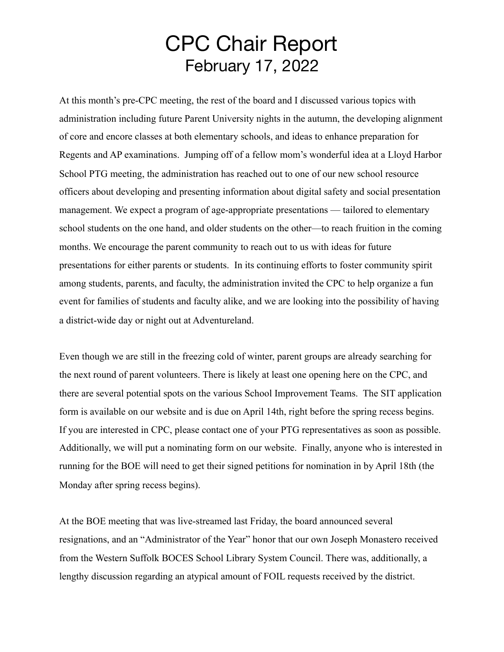## CPC Chair Report February 17, 2022

At this month's pre-CPC meeting, the rest of the board and I discussed various topics with administration including future Parent University nights in the autumn, the developing alignment of core and encore classes at both elementary schools, and ideas to enhance preparation for Regents and AP examinations. Jumping off of a fellow mom's wonderful idea at a Lloyd Harbor School PTG meeting, the administration has reached out to one of our new school resource officers about developing and presenting information about digital safety and social presentation management. We expect a program of age-appropriate presentations — tailored to elementary school students on the one hand, and older students on the other—to reach fruition in the coming months. We encourage the parent community to reach out to us with ideas for future presentations for either parents or students. In its continuing efforts to foster community spirit among students, parents, and faculty, the administration invited the CPC to help organize a fun event for families of students and faculty alike, and we are looking into the possibility of having a district-wide day or night out at Adventureland.

Even though we are still in the freezing cold of winter, parent groups are already searching for the next round of parent volunteers. There is likely at least one opening here on the CPC, and there are several potential spots on the various School Improvement Teams. The SIT application form is available on our website and is due on April 14th, right before the spring recess begins. If you are interested in CPC, please contact one of your PTG representatives as soon as possible. Additionally, we will put a nominating form on our website. Finally, anyone who is interested in running for the BOE will need to get their signed petitions for nomination in by April 18th (the Monday after spring recess begins).

At the BOE meeting that was live-streamed last Friday, the board announced several resignations, and an "Administrator of the Year" honor that our own Joseph Monastero received from the Western Suffolk BOCES School Library System Council. There was, additionally, a lengthy discussion regarding an atypical amount of FOIL requests received by the district.